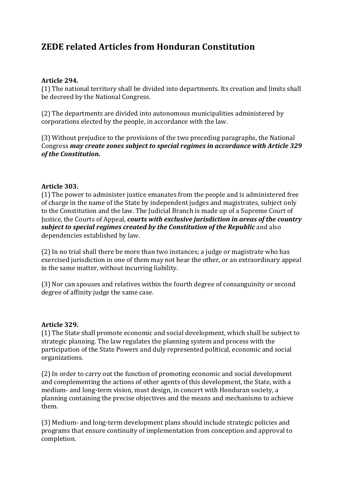# **ZEDE related Articles from Honduran Constitution**

### **Article 294.**

(1) The national territory shall be divided into departments. Its creation and limits shall be decreed by the National Congress.

(2) The departments are divided into autonomous municipalities administered by corporations elected by the people, in accordance with the law.

(3) Without prejudice to the provisions of the two preceding paragraphs, the National Congress may create zones subject to special regimes in accordance with Article 329 *of the Constitution.*

#### **Article 303.**

 $(1)$  The power to administer justice emanates from the people and is administered free of charge in the name of the State by independent judges and magistrates, subject only to the Constitution and the law. The Judicial Branch is made up of a Supreme Court of Justice, the Courts of Appeal, *courts with exclusive jurisdiction in areas of the country subject to special regimes created by the Constitution of the Republic and also* dependencies established by law.

 $(2)$  In no trial shall there be more than two instances; a judge or magistrate who has exercised jurisdiction in one of them may not hear the other, or an extraordinary appeal in the same matter, without incurring liability.

(3) Nor can spouses and relatives within the fourth degree of consanguinity or second degree of affinity judge the same case.

#### **Article 329.**

(1) The State shall promote economic and social development, which shall be subject to strategic planning. The law regulates the planning system and process with the participation of the State Powers and duly represented political, economic and social organizations.

(2) In order to carry out the function of promoting economic and social development and complementing the actions of other agents of this development, the State, with a medium- and long-term vision, must design, in concert with Honduran society, a planning containing the precise objectives and the means and mechanisms to achieve them.

(3) Medium- and long-term development plans should include strategic policies and programs that ensure continuity of implementation from conception and approval to completion.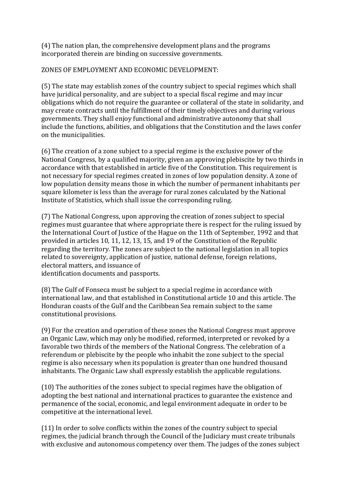(4) The nation plan, the comprehensive development plans and the programs incorporated therein are binding on successive governments.

## ZONES OF EMPLOYMENT AND ECONOMIC DEVELOPMENT:

(5) The state may establish zones of the country subject to special regimes which shall have juridical personality, and are subject to a special fiscal regime and may incur obligations which do not require the guarantee or collateral of the state in solidarity, and may create contracts until the fulfillment of their timely objectives and during various governments. They shall enjoy functional and administrative autonomy that shall include the functions, abilities, and obligations that the Constitution and the laws confer on the municipalities.

 $(6)$  The creation of a zone subject to a special regime is the exclusive power of the National Congress, by a qualified majority, given an approving plebiscite by two thirds in accordance with that established in article five of the Constitution. This requirement is not necessary for special regimes created in zones of low population density. A zone of low population density means those in which the number of permanent inhabitants per square kilometer is less than the average for rural zones calculated by the National Institute of Statistics, which shall issue the corresponding ruling.

(7) The National Congress, upon approving the creation of zones subject to special regimes must guarantee that where appropriate there is respect for the ruling issued by the International Court of Justice of the Hague on the 11th of September, 1992 and that provided in articles 10, 11, 12, 13, 15, and 19 of the Constitution of the Republic regarding the territory. The zones are subject to the national legislation in all topics related to sovereignty, application of justice, national defense, foreign relations, electoral matters, and issuance of identification documents and passports.

(8) The Gulf of Fonseca must be subject to a special regime in accordance with international law, and that established in Constitutional article 10 and this article. The Honduran coasts of the Gulf and the Caribbean Sea remain subject to the same constitutional provisions.

(9) For the creation and operation of these zones the National Congress must approve an Organic Law, which may only be modified, reformed, interpreted or revoked by a favorable two thirds of the members of the National Congress. The celebration of a referendum or plebiscite by the people who inhabit the zone subject to the special regime is also necessary when its population is greater than one hundred thousand inhabitants. The Organic Law shall expressly establish the applicable regulations.

(10) The authorities of the zones subject to special regimes have the obligation of adopting the best national and international practices to guarantee the existence and permanence of the social, economic, and legal environment adequate in order to be competitive at the international level.

 $(11)$  In order to solve conflicts within the zones of the country subject to special regimes, the judicial branch through the Council of the Judiciary must create tribunals with exclusive and autonomous competency over them. The judges of the zones subject